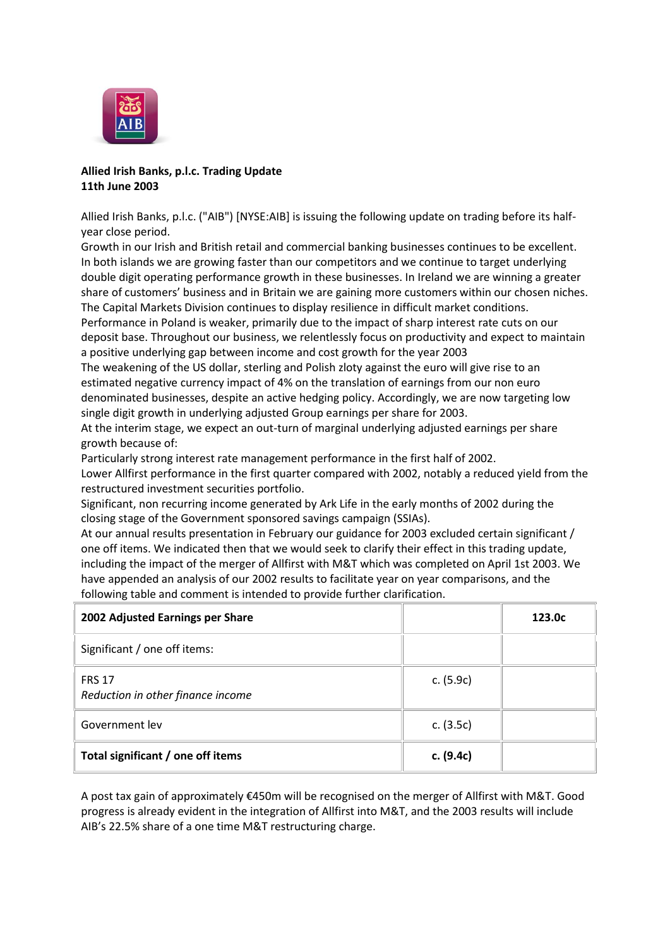

# **Allied Irish Banks, p.l.c. Trading Update 11th June 2003**

Allied Irish Banks, p.l.c. ("AIB") [NYSE:AIB] is issuing the following update on trading before its halfyear close period.

Growth in our Irish and British retail and commercial banking businesses continues to be excellent. In both islands we are growing faster than our competitors and we continue to target underlying double digit operating performance growth in these businesses. In Ireland we are winning a greater share of customers' business and in Britain we are gaining more customers within our chosen niches. The Capital Markets Division continues to display resilience in difficult market conditions.

Performance in Poland is weaker, primarily due to the impact of sharp interest rate cuts on our deposit base. Throughout our business, we relentlessly focus on productivity and expect to maintain a positive underlying gap between income and cost growth for the year 2003

The weakening of the US dollar, sterling and Polish zloty against the euro will give rise to an estimated negative currency impact of 4% on the translation of earnings from our non euro denominated businesses, despite an active hedging policy. Accordingly, we are now targeting low single digit growth in underlying adjusted Group earnings per share for 2003.

At the interim stage, we expect an out-turn of marginal underlying adjusted earnings per share growth because of:

Particularly strong interest rate management performance in the first half of 2002.

Lower Allfirst performance in the first quarter compared with 2002, notably a reduced yield from the restructured investment securities portfolio.

Significant, non recurring income generated by Ark Life in the early months of 2002 during the closing stage of the Government sponsored savings campaign (SSIAs).

At our annual results presentation in February our guidance for 2003 excluded certain significant / one off items. We indicated then that we would seek to clarify their effect in this trading update, including the impact of the merger of Allfirst with M&T which was completed on April 1st 2003. We have appended an analysis of our 2002 results to facilitate year on year comparisons, and the following table and comment is intended to provide further clarification.

| 2002 Adjusted Earnings per Share                   |             | 123.0 <sub>c</sub> |
|----------------------------------------------------|-------------|--------------------|
| Significant / one off items:                       |             |                    |
| <b>FRS 17</b><br>Reduction in other finance income | c. $(5.9c)$ |                    |
| Government lev                                     | c. $(3.5c)$ |                    |
| Total significant / one off items                  | c. (9.4c)   |                    |

A post tax gain of approximately €450m will be recognised on the merger of Allfirst with M&T. Good progress is already evident in the integration of Allfirst into M&T, and the 2003 results will include AIB's 22.5% share of a one time M&T restructuring charge.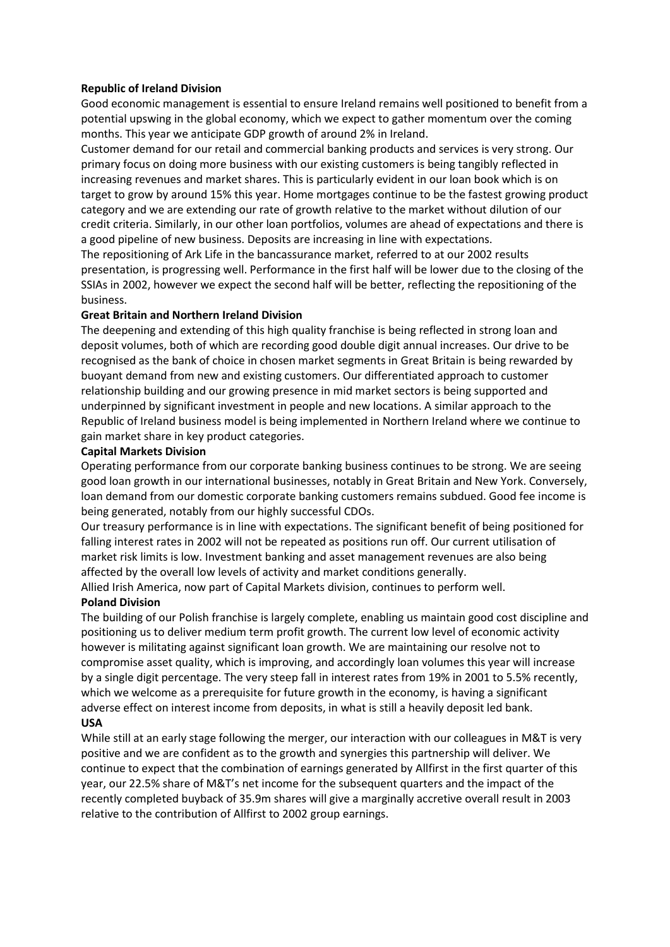### **Republic of Ireland Division**

Good economic management is essential to ensure Ireland remains well positioned to benefit from a potential upswing in the global economy, which we expect to gather momentum over the coming months. This year we anticipate GDP growth of around 2% in Ireland.

Customer demand for our retail and commercial banking products and services is very strong. Our primary focus on doing more business with our existing customers is being tangibly reflected in increasing revenues and market shares. This is particularly evident in our loan book which is on target to grow by around 15% this year. Home mortgages continue to be the fastest growing product category and we are extending our rate of growth relative to the market without dilution of our credit criteria. Similarly, in our other loan portfolios, volumes are ahead of expectations and there is a good pipeline of new business. Deposits are increasing in line with expectations.

The repositioning of Ark Life in the bancassurance market, referred to at our 2002 results presentation, is progressing well. Performance in the first half will be lower due to the closing of the SSIAs in 2002, however we expect the second half will be better, reflecting the repositioning of the business.

#### **Great Britain and Northern Ireland Division**

The deepening and extending of this high quality franchise is being reflected in strong loan and deposit volumes, both of which are recording good double digit annual increases. Our drive to be recognised as the bank of choice in chosen market segments in Great Britain is being rewarded by buoyant demand from new and existing customers. Our differentiated approach to customer relationship building and our growing presence in mid market sectors is being supported and underpinned by significant investment in people and new locations. A similar approach to the Republic of Ireland business model is being implemented in Northern Ireland where we continue to gain market share in key product categories.

#### **Capital Markets Division**

Operating performance from our corporate banking business continues to be strong. We are seeing good loan growth in our international businesses, notably in Great Britain and New York. Conversely, loan demand from our domestic corporate banking customers remains subdued. Good fee income is being generated, notably from our highly successful CDOs.

Our treasury performance is in line with expectations. The significant benefit of being positioned for falling interest rates in 2002 will not be repeated as positions run off. Our current utilisation of market risk limits is low. Investment banking and asset management revenues are also being affected by the overall low levels of activity and market conditions generally.

Allied Irish America, now part of Capital Markets division, continues to perform well.

### **Poland Division**

The building of our Polish franchise is largely complete, enabling us maintain good cost discipline and positioning us to deliver medium term profit growth. The current low level of economic activity however is militating against significant loan growth. We are maintaining our resolve not to compromise asset quality, which is improving, and accordingly loan volumes this year will increase by a single digit percentage. The very steep fall in interest rates from 19% in 2001 to 5.5% recently, which we welcome as a prerequisite for future growth in the economy, is having a significant adverse effect on interest income from deposits, in what is still a heavily deposit led bank. **USA**

While still at an early stage following the merger, our interaction with our colleagues in M&T is very positive and we are confident as to the growth and synergies this partnership will deliver. We continue to expect that the combination of earnings generated by Allfirst in the first quarter of this year, our 22.5% share of M&T's net income for the subsequent quarters and the impact of the recently completed buyback of 35.9m shares will give a marginally accretive overall result in 2003 relative to the contribution of Allfirst to 2002 group earnings.